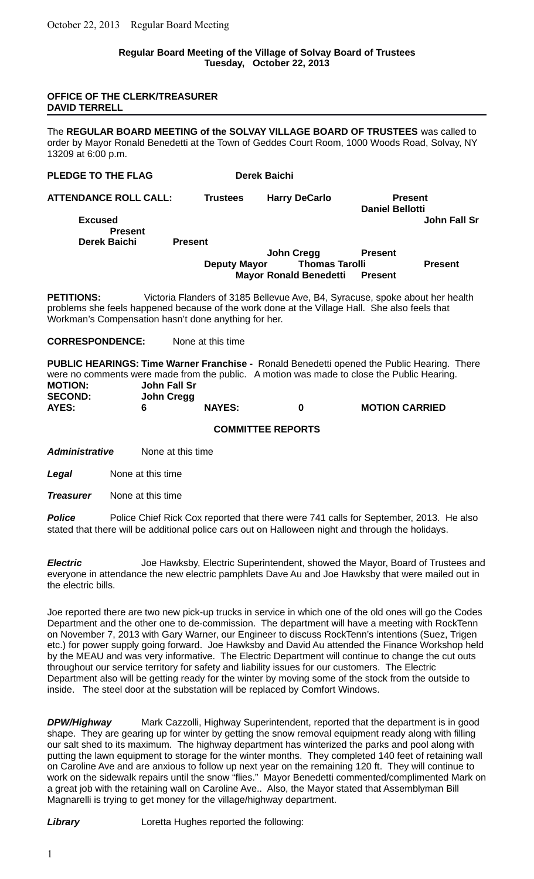### **Regular Board Meeting of the Village of Solvay Board of Trustees Tuesday, October 22, 2013**

### **OFFICE OF THE CLERK/TREASURER DAVID TERRELL**

The **REGULAR BOARD MEETING of the SOLVAY VILLAGE BOARD OF TRUSTEES** was called to order by Mayor Ronald Benedetti at the Town of Geddes Court Room, 1000 Woods Road, Solvay, NY 13209 at 6:00 p.m.

| PLEDGE TO THE FLAG               |                     | <b>Derek Baichi</b>           |                                          |                |
|----------------------------------|---------------------|-------------------------------|------------------------------------------|----------------|
| <b>ATTENDANCE ROLL CALL:</b>     | <b>Trustees</b>     | <b>Harry DeCarlo</b>          | <b>Present</b><br><b>Daniel Bellotti</b> |                |
| <b>Excused</b><br><b>Present</b> |                     |                               |                                          | John Fall Sr   |
| Derek Baichi                     | <b>Present</b>      |                               |                                          |                |
|                                  |                     | John Cregg                    | <b>Present</b>                           |                |
|                                  | <b>Deputy Mayor</b> | <b>Thomas Tarolli</b>         |                                          | <b>Present</b> |
|                                  |                     | <b>Mayor Ronald Benedetti</b> | <b>Present</b>                           |                |

**PETITIONS:** Victoria Flanders of 3185 Bellevue Ave, B4, Syracuse, spoke about her health problems she feels happened because of the work done at the Village Hall. She also feels that Workman's Compensation hasn't done anything for her.

### **CORRESPONDENCE:** None at this time

**PUBLIC HEARINGS: Time Warner Franchise -** Ronald Benedetti opened the Public Hearing. There were no comments were made from the public. A motion was made to close the Public Hearing. **MOTION: John Fall Sr SECOND: John Cregg**

**AYES: 6 NAYES: 0 MOTION CARRIED**

### **COMMITTEE REPORTS**

*Administrative* None at this time

*Legal* None at this time

*Treasurer* None at this time

**Police** Police Chief Rick Cox reported that there were 741 calls for September, 2013. He also stated that there will be additional police cars out on Halloween night and through the holidays.

*Electric* Joe Hawksby, Electric Superintendent, showed the Mayor, Board of Trustees and everyone in attendance the new electric pamphlets Dave Au and Joe Hawksby that were mailed out in the electric bills.

Joe reported there are two new pick-up trucks in service in which one of the old ones will go the Codes Department and the other one to de-commission. The department will have a meeting with RockTenn on November 7, 2013 with Gary Warner, our Engineer to discuss RockTenn's intentions (Suez, Trigen etc.) for power supply going forward. Joe Hawksby and David Au attended the Finance Workshop held by the MEAU and was very informative. The Electric Department will continue to change the cut outs throughout our service territory for safety and liability issues for our customers. The Electric Department also will be getting ready for the winter by moving some of the stock from the outside to inside. The steel door at the substation will be replaced by Comfort Windows.

**DPW/Highway** Mark Cazzolli, Highway Superintendent, reported that the department is in good shape. They are gearing up for winter by getting the snow removal equipment ready along with filling our salt shed to its maximum. The highway department has winterized the parks and pool along with putting the lawn equipment to storage for the winter months. They completed 140 feet of retaining wall on Caroline Ave and are anxious to follow up next year on the remaining 120 ft. They will continue to work on the sidewalk repairs until the snow "flies." Mayor Benedetti commented/complimented Mark on a great job with the retaining wall on Caroline Ave.. Also, the Mayor stated that Assemblyman Bill Magnarelli is trying to get money for the village/highway department.

**Library Loretta Hughes reported the following:**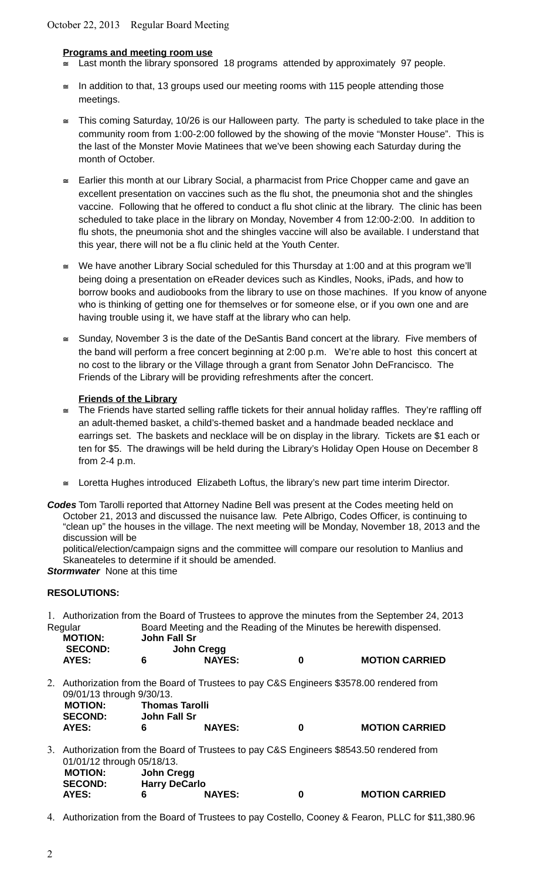# **Programs and meeting room use**

- $\leq$  Last month the library sponsored 18 programs attended by approximately 97 people.
- $\leq$  In addition to that, 13 groups used our meeting rooms with 115 people attending those meetings.
- $\le$  This coming Saturday, 10/26 is our Halloween party. The party is scheduled to take place in the community room from 1:00-2:00 followed by the showing of the movie "Monster House". This is the last of the Monster Movie Matinees that we've been showing each Saturday during the month of October.
- $\leq$  Earlier this month at our Library Social, a pharmacist from Price Chopper came and gave an excellent presentation on vaccines such as the flu shot, the pneumonia shot and the shingles vaccine. Following that he offered to conduct a flu shot clinic at the library. The clinic has been scheduled to take place in the library on Monday, November 4 from 12:00-2:00. In addition to flu shots, the pneumonia shot and the shingles vaccine will also be available. I understand that this year, there will not be a flu clinic held at the Youth Center.
- $\leq$  We have another Library Social scheduled for this Thursday at 1:00 and at this program we'll being doing a presentation on eReader devices such as Kindles, Nooks, iPads, and how to borrow books and audiobooks from the library to use on those machines. If you know of anyone who is thinking of getting one for themselves or for someone else, or if you own one and are having trouble using it, we have staff at the library who can help.
- Sunday, November 3 is the date of the DeSantis Band concert at the library. Five members of the band will perform a free concert beginning at 2:00 p.m. We're able to host this concert at no cost to the library or the Village through a grant from Senator John DeFrancisco. The Friends of the Library will be providing refreshments after the concert.

# **Friends of the Library**

- The Friends have started selling raffle tickets for their annual holiday raffles. They're raffling off an adult-themed basket, a child's-themed basket and a handmade beaded necklace and earrings set. The baskets and necklace will be on display in the library. Tickets are \$1 each or ten for \$5. The drawings will be held during the Library's Holiday Open House on December 8 from 2-4 p.m.
- $\leq$  Loretta Hughes introduced Elizabeth Loftus, the library's new part time interim Director.

*Codes* Tom Tarolli reported that Attorney Nadine Bell was present at the Codes meeting held on October 21, 2013 and discussed the nuisance law. Pete Albrigo, Codes Officer, is continuing to "clean up" the houses in the village. The next meeting will be Monday, November 18, 2013 and the discussion will be

political/election/campaign signs and the committee will compare our resolution to Manlius and Skaneateles to determine if it should be amended.

*Stormwater* None at this time

## **RESOLUTIONS:**

1. Authorization from the Board of Trustees to approve the minutes from the September 24, 2013 Regular Board Meeting and the Reading of the Minutes be herewith dispensed.

| <b>MOTION:</b> | John Fall Sr |               |   |                       |
|----------------|--------------|---------------|---|-----------------------|
| <b>SECOND:</b> |              | John Cregg    |   |                       |
| <b>AYES:</b>   |              | <b>NAYES:</b> | n | <b>MOTION CARRIED</b> |

2. Authorization from the Board of Trustees to pay C&S Engineers \$3578.00 rendered from 09/01/13 through 9/30/13.

| <b>MOTION:</b> | <b>Thomas Tarolli</b> |               |                       |
|----------------|-----------------------|---------------|-----------------------|
| <b>SECOND:</b> | John Fall Sr          |               |                       |
| <b>AYES:</b>   |                       | <b>NAYES:</b> | <b>MOTION CARRIED</b> |

- 3. Authorization from the Board of Trustees to pay C&S Engineers \$8543.50 rendered from 01/01/12 through 05/18/13.<br>**MOTION:** John Cro  **MOTION: John Cregg SECOND: Harry DeCarlo AYES: 6 NAYES: 0 MOTION CARRIED**
- 
- 4. Authorization from the Board of Trustees to pay Costello, Cooney & Fearon, PLLC for \$11,380.96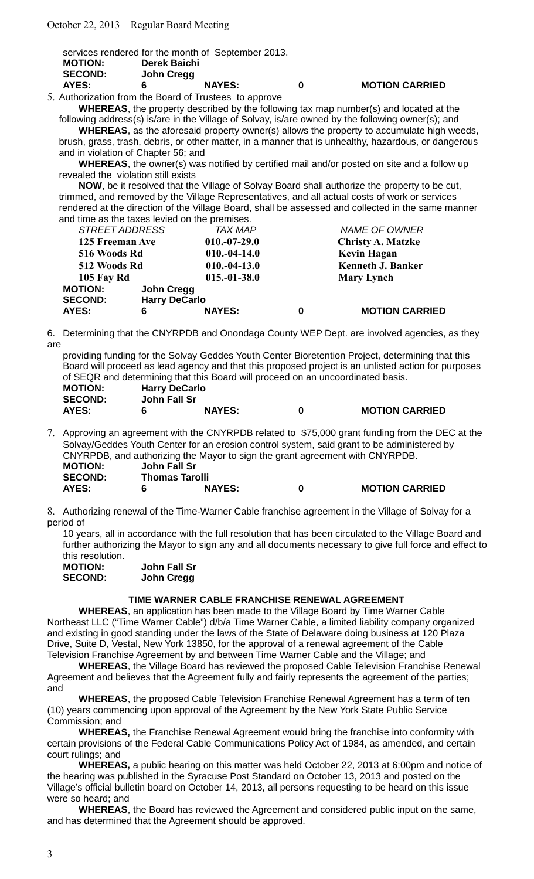|                |              | services rendered for the month of September 2013. |   |                       |
|----------------|--------------|----------------------------------------------------|---|-----------------------|
| <b>MOTION:</b> | Derek Baichi |                                                    |   |                       |
| <b>SECOND:</b> | John Cregg   |                                                    |   |                       |
| AYES:          | б            | <b>NAYES:</b>                                      | n | <b>MOTION CARRIED</b> |

5. Authorization from the Board of Trustees to approve **WHEREAS**, the property described by the following tax map number(s) and located at the

following address(s) is/are in the Village of Solvay, is/are owned by the following owner(s); and **WHEREAS**, as the aforesaid property owner(s) allows the property to accumulate high weeds,

brush, grass, trash, debris, or other matter, in a manner that is unhealthy, hazardous, or dangerous and in violation of Chapter 56; and

**WHEREAS**, the owner(s) was notified by certified mail and/or posted on site and a follow up revealed the violation still exists

**NOW**, be it resolved that the Village of Solvay Board shall authorize the property to be cut, trimmed, and removed by the Village Representatives, and all actual costs of work or services rendered at the direction of the Village Board, shall be assessed and collected in the same manner and time as the taxes levied on the premises.

|                 | <b>STREET ADDRESS</b> |                      | <b>TAX MAP</b>           | <b>NAME OF OWNER</b>     |
|-----------------|-----------------------|----------------------|--------------------------|--------------------------|
| 125 Freeman Ave |                       | $010.-07-29.0$       | <b>Christy A. Matzke</b> |                          |
|                 | 516 Woods Rd          |                      | $010.-04-14.0$           | <b>Kevin Hagan</b>       |
|                 | 512 Woods Rd          |                      | $010.-04-13.0$           | <b>Kenneth J. Banker</b> |
|                 | <b>105 Fay Rd</b>     |                      | $015.-01-38.0$           | <b>Mary Lynch</b>        |
|                 | <b>MOTION:</b>        | John Cregg           |                          |                          |
|                 | <b>SECOND:</b>        | <b>Harry DeCarlo</b> |                          |                          |
|                 | AYES:                 | 6                    | <b>NAYES:</b>            | <b>MOTION CARRIED</b>    |

6. Determining that the CNYRPDB and Onondaga County WEP Dept. are involved agencies, as they are

providing funding for the Solvay Geddes Youth Center Bioretention Project, determining that this Board will proceed as lead agency and that this proposed project is an unlisted action for purposes of SEQR and determining that this Board will proceed on an uncoordinated basis. **MOTION: Harry DeCarlo**

| <b>MOTION:</b> | <b>Harry DeCarlo</b> |               |                       |
|----------------|----------------------|---------------|-----------------------|
| <b>SECOND:</b> | John Fall Sr         |               |                       |
| AYES:          |                      | <b>NAYES:</b> | <b>MOTION CARRIED</b> |

7. Approving an agreement with the CNYRPDB related to \$75,000 grant funding from the DEC at the Solvay/Geddes Youth Center for an erosion control system, said grant to be administered by CNYRPDB, and authorizing the Mayor to sign the grant agreement with CNYRPDB. **MOTION: John Fall Sr**

| .              |                       |               |                       |
|----------------|-----------------------|---------------|-----------------------|
| <b>SECOND:</b> | <b>Thomas Tarolli</b> |               |                       |
| <b>AYES:</b>   |                       | <b>NAYES:</b> | <b>MOTION CARRIED</b> |

8. Authorizing renewal of the Time-Warner Cable franchise agreement in the Village of Solvay for a period of

10 years, all in accordance with the full resolution that has been circulated to the Village Board and further authorizing the Mayor to sign any and all documents necessary to give full force and effect to this resolution.

| <b>MOTION:</b> | John Fall Sr |
|----------------|--------------|
| <b>SECOND:</b> | John Cregg   |

## **TIME WARNER CABLE FRANCHISE RENEWAL AGREEMENT**

**WHEREAS**, an application has been made to the Village Board by Time Warner Cable Northeast LLC ("Time Warner Cable") d/b/a Time Warner Cable, a limited liability company organized and existing in good standing under the laws of the State of Delaware doing business at 120 Plaza Drive, Suite D, Vestal, New York 13850, for the approval of a renewal agreement of the Cable Television Franchise Agreement by and between Time Warner Cable and the Village; and

**WHEREAS**, the Village Board has reviewed the proposed Cable Television Franchise Renewal Agreement and believes that the Agreement fully and fairly represents the agreement of the parties; and

**WHEREAS**, the proposed Cable Television Franchise Renewal Agreement has a term of ten (10) years commencing upon approval of the Agreement by the New York State Public Service Commission; and

**WHEREAS,** the Franchise Renewal Agreement would bring the franchise into conformity with certain provisions of the Federal Cable Communications Policy Act of 1984, as amended, and certain court rulings; and

**WHEREAS,** a public hearing on this matter was held October 22, 2013 at 6:00pm and notice of the hearing was published in the Syracuse Post Standard on October 13, 2013 and posted on the Village's official bulletin board on October 14, 2013, all persons requesting to be heard on this issue were so heard; and

**WHEREAS**, the Board has reviewed the Agreement and considered public input on the same, and has determined that the Agreement should be approved.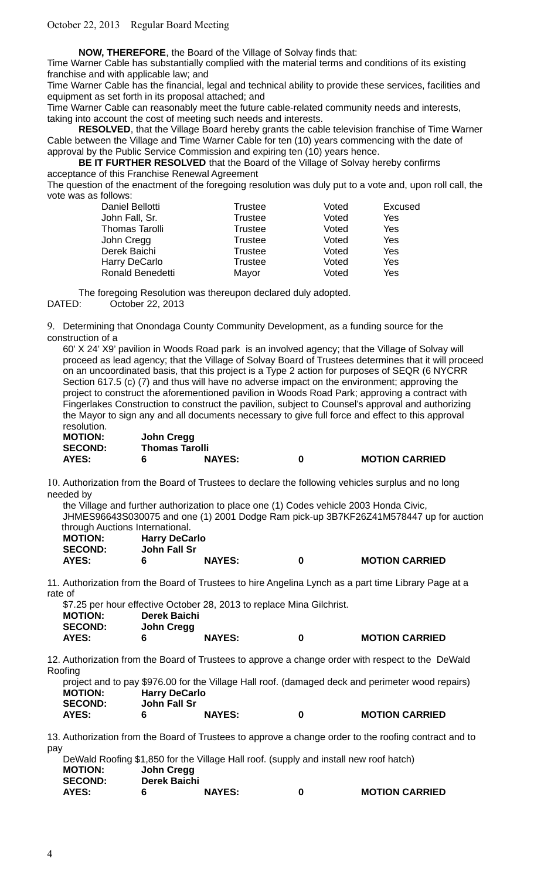**NOW, THEREFORE**, the Board of the Village of Solvay finds that:

Time Warner Cable has substantially complied with the material terms and conditions of its existing franchise and with applicable law; and

Time Warner Cable has the financial, legal and technical ability to provide these services, facilities and equipment as set forth in its proposal attached; and

Time Warner Cable can reasonably meet the future cable-related community needs and interests, taking into account the cost of meeting such needs and interests.

**RESOLVED**, that the Village Board hereby grants the cable television franchise of Time Warner Cable between the Village and Time Warner Cable for ten (10) years commencing with the date of approval by the Public Service Commission and expiring ten (10) years hence.

**BE IT FURTHER RESOLVED** that the Board of the Village of Solvay hereby confirms acceptance of this Franchise Renewal Agreement

The question of the enactment of the foregoing resolution was duly put to a vote and, upon roll call, the vote was as follows:

| Daniel Bellotti       | Trustee        | Voted | Excused |
|-----------------------|----------------|-------|---------|
| John Fall, Sr.        | <b>Trustee</b> | Voted | Yes     |
| <b>Thomas Tarolli</b> | <b>Trustee</b> | Voted | Yes     |
| John Cregg            | <b>Trustee</b> | Voted | Yes     |
| Derek Baichi          | <b>Trustee</b> | Voted | Yes     |
| <b>Harry DeCarlo</b>  | <b>Trustee</b> | Voted | Yes     |
| Ronald Benedetti      | Mayor          | Voted | Yes     |
|                       |                |       |         |

The foregoing Resolution was thereupon declared duly adopted.

DATED: October 22, 2013

9. Determining that Onondaga County Community Development, as a funding source for the construction of a

60' X 24' X9' pavilion in Woods Road park is an involved agency; that the Village of Solvay will proceed as lead agency; that the Village of Solvay Board of Trustees determines that it will proceed on an uncoordinated basis, that this project is a Type 2 action for purposes of SEQR (6 NYCRR Section 617.5 (c) (7) and thus will have no adverse impact on the environment; approving the project to construct the aforementioned pavilion in Woods Road Park; approving a contract with Fingerlakes Construction to construct the pavilion, subject to Counsel's approval and authorizing the Mayor to sign any and all documents necessary to give full force and effect to this approval resolution.

| <b>MOTION:</b> | John Cregg            |               |   |                       |
|----------------|-----------------------|---------------|---|-----------------------|
| <b>SECOND:</b> | <b>Thomas Tarolli</b> |               |   |                       |
| <b>AYES:</b>   |                       | <b>NAYES:</b> | 0 | <b>MOTION CARRIED</b> |

10. Authorization from the Board of Trustees to declare the following vehicles surplus and no long needed by

the Village and further authorization to place one (1) Codes vehicle 2003 Honda Civic, JHMES96643S030075 and one (1) 2001 Dodge Ram pick-up 3B7KF26Z41M578447 up for auction through Auctions International. **MOTION: Harry DeCarlo**

| MU HUN.        | <b>Hally DeCallo</b> |               |                       |
|----------------|----------------------|---------------|-----------------------|
| <b>SECOND:</b> | John Fall Sr         |               |                       |
| <b>AYES:</b>   |                      | <b>NAYES:</b> | <b>MOTION CARRIED</b> |

11. Authorization from the Board of Trustees to hire Angelina Lynch as a part time Library Page at a rate of

\$7.25 per hour effective October 28, 2013 to replace Mina Gilchrist. **MOTION: Derek Baichi SECOND: John Cregg AYES: 6 NAYES: 0 MOTION CARRIED**

12. Authorization from the Board of Trustees to approve a change order with respect to the DeWald Roofing

project and to pay \$976.00 for the Village Hall roof. (damaged deck and perimeter wood repairs) **MOTION: Harry DeCarlo SECOND: John Fall Sr AYES: 6 NAYES: 0 MOTION CARRIED**

13. Authorization from the Board of Trustees to approve a change order to the roofing contract and to pay

|                |              | DeWald Roofing \$1,850 for the Village Hall roof. (supply and install new roof hatch) |   |                       |
|----------------|--------------|---------------------------------------------------------------------------------------|---|-----------------------|
| <b>MOTION:</b> | John Cregg   |                                                                                       |   |                       |
| <b>SECOND:</b> | Derek Baichi |                                                                                       |   |                       |
| <b>AYES:</b>   | б            | <b>NAYES:</b>                                                                         | n | <b>MOTION CARRIED</b> |